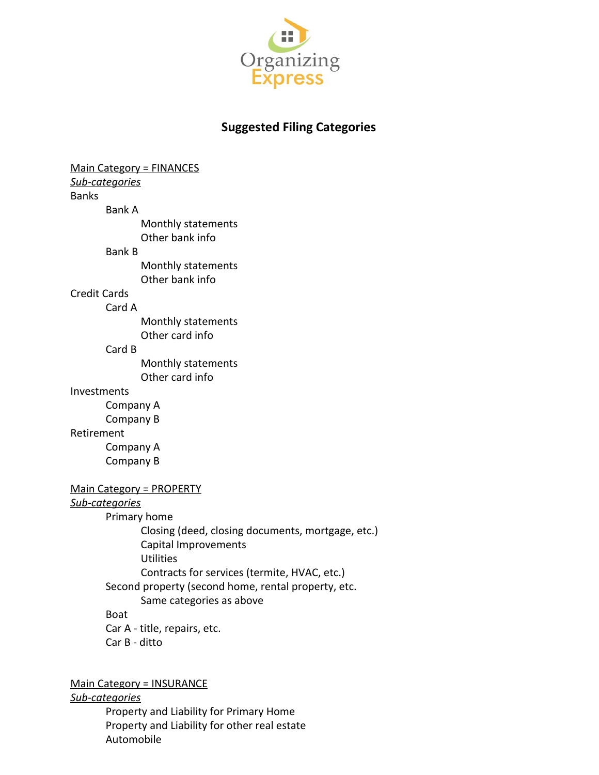

# **Suggested Filing Categories**

Main Category = FINANCES *Sub-categories* Banks Bank A Monthly statements Other bank info Bank B Monthly statements Other bank info Credit Cards Card A Monthly statements Other card info Card B Monthly statements Other card info Investments Company A Company B Retirement Company A Company B Main Category = PROPERTY *Sub-categories* Primary home Closing (deed, closing documents, mortgage, etc.) Capital Improvements **Utilities** Contracts for services (termite, HVAC, etc.) Second property (second home, rental property, etc. Same categories as above Boat Car A - title, repairs, etc. Car B - ditto

Main Category = INSURANCE

#### *Sub-categories*

Property and Liability for Primary Home Property and Liability for other real estate Automobile